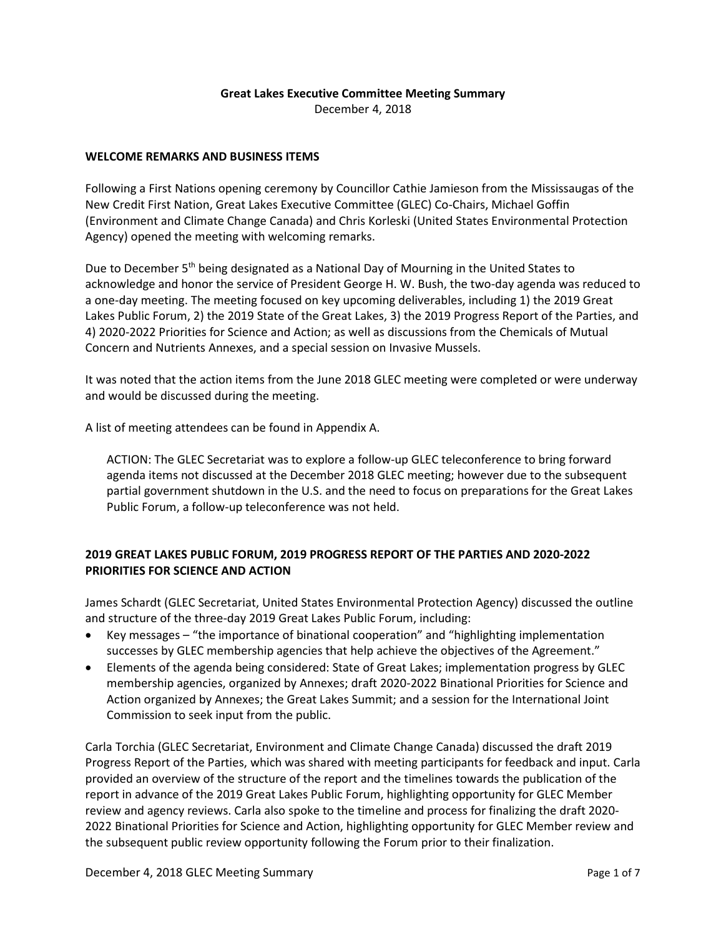## **Great Lakes Executive Committee Meeting Summary**

December 4, 2018

## **WELCOME REMARKS AND BUSINESS ITEMS**

Following a First Nations opening ceremony by Councillor Cathie Jamieson from the Mississaugas of the New Credit First Nation, Great Lakes Executive Committee (GLEC) Co-Chairs, Michael Goffin (Environment and Climate Change Canada) and Chris Korleski (United States Environmental Protection Agency) opened the meeting with welcoming remarks.

Due to December 5<sup>th</sup> being designated as a National Day of Mourning in the United States to acknowledge and honor the service of President George H. W. Bush, the two-day agenda was reduced to a one-day meeting. The meeting focused on key upcoming deliverables, including 1) the 2019 Great Lakes Public Forum, 2) the 2019 State of the Great Lakes, 3) the 2019 Progress Report of the Parties, and 4) 2020-2022 Priorities for Science and Action; as well as discussions from the Chemicals of Mutual Concern and Nutrients Annexes, and a special session on Invasive Mussels.

It was noted that the action items from the June 2018 GLEC meeting were completed or were underway and would be discussed during the meeting.

A list of meeting attendees can be found in Appendix A.

ACTION: The GLEC Secretariat was to explore a follow-up GLEC teleconference to bring forward agenda items not discussed at the December 2018 GLEC meeting; however due to the subsequent partial government shutdown in the U.S. and the need to focus on preparations for the Great Lakes Public Forum, a follow-up teleconference was not held.

# **2019 GREAT LAKES PUBLIC FORUM, 2019 PROGRESS REPORT OF THE PARTIES AND 2020-2022 PRIORITIES FOR SCIENCE AND ACTION**

James Schardt (GLEC Secretariat, United States Environmental Protection Agency) discussed the outline and structure of the three-day 2019 Great Lakes Public Forum, including:

- Key messages "the importance of binational cooperation" and "highlighting implementation successes by GLEC membership agencies that help achieve the objectives of the Agreement."
- Elements of the agenda being considered: State of Great Lakes; implementation progress by GLEC membership agencies, organized by Annexes; draft 2020-2022 Binational Priorities for Science and Action organized by Annexes; the Great Lakes Summit; and a session for the International Joint Commission to seek input from the public.

Carla Torchia (GLEC Secretariat, Environment and Climate Change Canada) discussed the draft 2019 Progress Report of the Parties, which was shared with meeting participants for feedback and input. Carla provided an overview of the structure of the report and the timelines towards the publication of the report in advance of the 2019 Great Lakes Public Forum, highlighting opportunity for GLEC Member review and agency reviews. Carla also spoke to the timeline and process for finalizing the draft 2020- 2022 Binational Priorities for Science and Action, highlighting opportunity for GLEC Member review and the subsequent public review opportunity following the Forum prior to their finalization.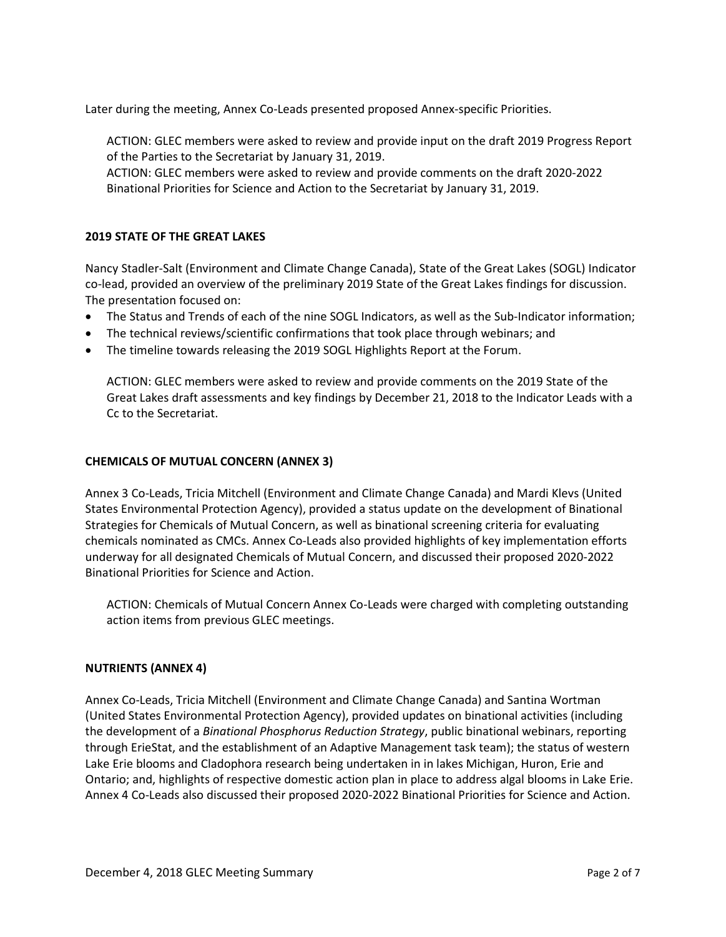Later during the meeting, Annex Co-Leads presented proposed Annex-specific Priorities.

ACTION: GLEC members were asked to review and provide input on the draft 2019 Progress Report of the Parties to the Secretariat by January 31, 2019.

ACTION: GLEC members were asked to review and provide comments on the draft 2020-2022 Binational Priorities for Science and Action to the Secretariat by January 31, 2019.

## **2019 STATE OF THE GREAT LAKES**

Nancy Stadler-Salt (Environment and Climate Change Canada), State of the Great Lakes (SOGL) Indicator co-lead, provided an overview of the preliminary 2019 State of the Great Lakes findings for discussion. The presentation focused on:

- The Status and Trends of each of the nine SOGL Indicators, as well as the Sub-Indicator information;
- The technical reviews/scientific confirmations that took place through webinars; and
- The timeline towards releasing the 2019 SOGL Highlights Report at the Forum.

ACTION: GLEC members were asked to review and provide comments on the 2019 State of the Great Lakes draft assessments and key findings by December 21, 2018 to the Indicator Leads with a Cc to the Secretariat.

#### **CHEMICALS OF MUTUAL CONCERN (ANNEX 3)**

Annex 3 Co-Leads, Tricia Mitchell (Environment and Climate Change Canada) and Mardi Klevs (United States Environmental Protection Agency), provided a status update on the development of Binational Strategies for Chemicals of Mutual Concern, as well as binational screening criteria for evaluating chemicals nominated as CMCs. Annex Co-Leads also provided highlights of key implementation efforts underway for all designated Chemicals of Mutual Concern, and discussed their proposed 2020-2022 Binational Priorities for Science and Action.

ACTION: Chemicals of Mutual Concern Annex Co-Leads were charged with completing outstanding action items from previous GLEC meetings.

#### **NUTRIENTS (ANNEX 4)**

Annex Co-Leads, Tricia Mitchell (Environment and Climate Change Canada) and Santina Wortman (United States Environmental Protection Agency), provided updates on binational activities (including the development of a *Binational Phosphorus Reduction Strategy*, public binational webinars, reporting through ErieStat, and the establishment of an Adaptive Management task team); the status of western Lake Erie blooms and Cladophora research being undertaken in in lakes Michigan, Huron, Erie and Ontario; and, highlights of respective domestic action plan in place to address algal blooms in Lake Erie. Annex 4 Co-Leads also discussed their proposed 2020-2022 Binational Priorities for Science and Action.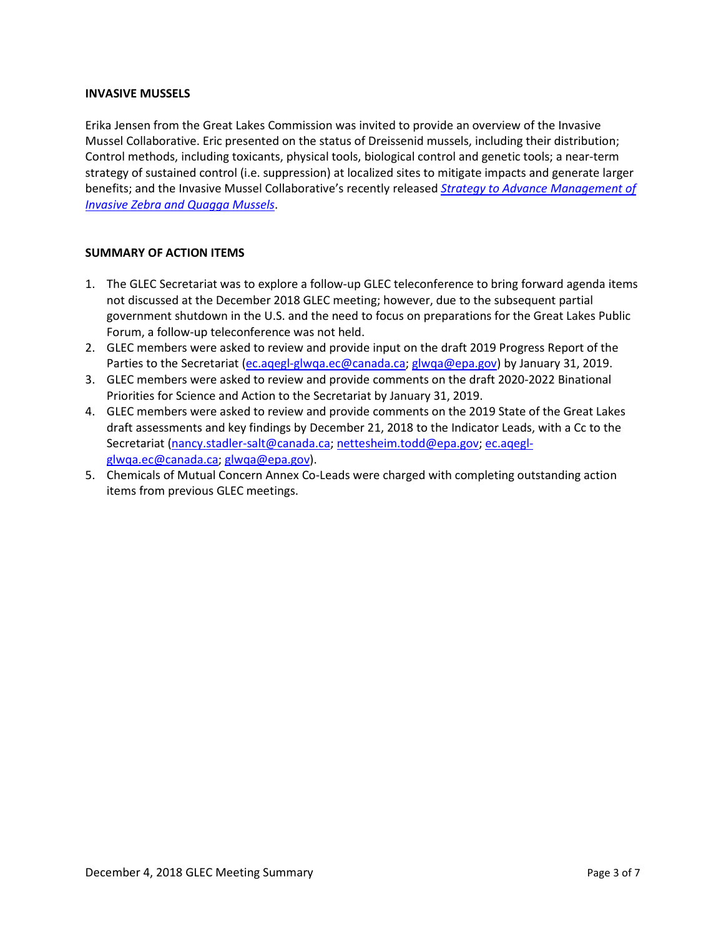## **INVASIVE MUSSELS**

Erika Jensen from the Great Lakes Commission was invited to provide an overview of the Invasive Mussel Collaborative. Eric presented on the status of Dreissenid mussels, including their distribution; Control methods, including toxicants, physical tools, biological control and genetic tools; a near-term strategy of sustained control (i.e. suppression) at localized sites to mitigate impacts and generate larger benefits; and the Invasive Mussel Collaborative's recently released *[Strategy to Advance Management of](https://invasivemusselcollaborative.net/wp-content/uploads/2018/11/IMC-Strategy-Nov-2018-final.pdf)  [Invasive Zebra and Quagga Mussels](https://invasivemusselcollaborative.net/wp-content/uploads/2018/11/IMC-Strategy-Nov-2018-final.pdf)*.

## **SUMMARY OF ACTION ITEMS**

- 1. The GLEC Secretariat was to explore a follow-up GLEC teleconference to bring forward agenda items not discussed at the December 2018 GLEC meeting; however, due to the subsequent partial government shutdown in the U.S. and the need to focus on preparations for the Great Lakes Public Forum, a follow-up teleconference was not held.
- 2. GLEC members were asked to review and provide input on the draft 2019 Progress Report of the Parties to the Secretariat [\(ec.aqegl-glwqa.ec@canada.ca;](mailto:ec.aqegl-glwqa.ec@canada.ca) [glwqa@epa.gov\)](mailto:glwqa@epa.gov) by January 31, 2019.
- 3. GLEC members were asked to review and provide comments on the draft 2020-2022 Binational Priorities for Science and Action to the Secretariat by January 31, 2019.
- 4. GLEC members were asked to review and provide comments on the 2019 State of the Great Lakes draft assessments and key findings by December 21, 2018 to the Indicator Leads, with a Cc to the Secretariat [\(nancy.stadler-salt@canada.ca;](mailto:nancy.stadler-salt@canada.ca) [nettesheim.todd@epa.gov;](mailto:nettesheim.todd@epa.gov) [ec.aqegl](mailto:ec.aqegl-glwqa.ec@canada.ca)[glwqa.ec@canada.ca;](mailto:ec.aqegl-glwqa.ec@canada.ca) [glwqa@epa.gov\)](mailto:glwqa@epa.gov).
- 5. Chemicals of Mutual Concern Annex Co-Leads were charged with completing outstanding action items from previous GLEC meetings.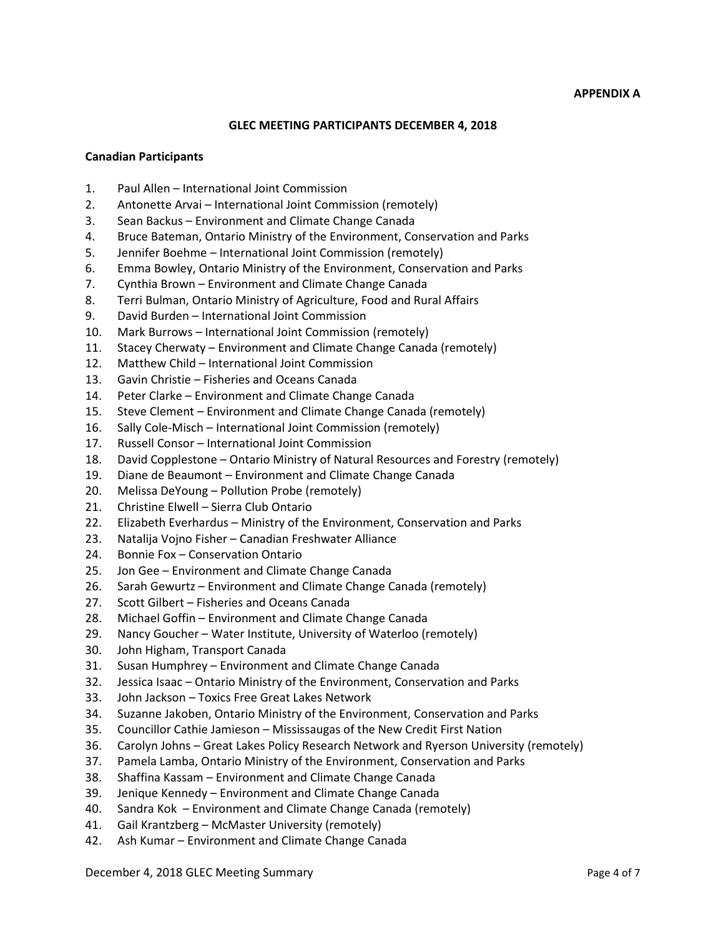#### **APPENDIX A**

## **GLEC MEETING PARTICIPANTS DECEMBER 4, 2018**

#### **Canadian Participants**

- 1. Paul Allen International Joint Commission
- 2. Antonette Arvai International Joint Commission (remotely)
- 3. Sean Backus Environment and Climate Change Canada
- 4. Bruce Bateman, Ontario Ministry of the Environment, Conservation and Parks
- 5. Jennifer Boehme International Joint Commission (remotely)
- 6. Emma Bowley, Ontario Ministry of the Environment, Conservation and Parks
- 7. Cynthia Brown Environment and Climate Change Canada
- 8. Terri Bulman, Ontario Ministry of Agriculture, Food and Rural Affairs
- 9. David Burden International Joint Commission
- 10. Mark Burrows International Joint Commission (remotely)
- 11. Stacey Cherwaty Environment and Climate Change Canada (remotely)
- 12. Matthew Child International Joint Commission
- 13. Gavin Christie Fisheries and Oceans Canada
- 14. Peter Clarke Environment and Climate Change Canada
- 15. Steve Clement Environment and Climate Change Canada (remotely)
- 16. Sally Cole-Misch International Joint Commission (remotely)
- 17. Russell Consor International Joint Commission
- 18. David Copplestone Ontario Ministry of Natural Resources and Forestry (remotely)
- 19. Diane de Beaumont Environment and Climate Change Canada
- 20. Melissa DeYoung Pollution Probe (remotely)
- 21. Christine Elwell Sierra Club Ontario
- 22. Elizabeth Everhardus Ministry of the Environment, Conservation and Parks
- 23. Natalija Vojno Fisher Canadian Freshwater Alliance
- 24. Bonnie Fox Conservation Ontario
- 25. Jon Gee Environment and Climate Change Canada
- 26. Sarah Gewurtz Environment and Climate Change Canada (remotely)
- 27. Scott Gilbert Fisheries and Oceans Canada
- 28. Michael Goffin Environment and Climate Change Canada
- 29. Nancy Goucher Water Institute, University of Waterloo (remotely)
- 30. John Higham, Transport Canada
- 31. Susan Humphrey Environment and Climate Change Canada
- 32. Jessica Isaac Ontario Ministry of the Environment, Conservation and Parks
- 33. John Jackson Toxics Free Great Lakes Network
- 34. Suzanne Jakoben, Ontario Ministry of the Environment, Conservation and Parks
- 35. Councillor Cathie Jamieson Mississaugas of the New Credit First Nation
- 36. Carolyn Johns Great Lakes Policy Research Network and Ryerson University (remotely)
- 37. Pamela Lamba, Ontario Ministry of the Environment, Conservation and Parks
- 38. Shaffina Kassam Environment and Climate Change Canada
- 39. Jenique Kennedy Environment and Climate Change Canada
- 40. Sandra Kok Environment and Climate Change Canada (remotely)
- 41. Gail Krantzberg McMaster University (remotely)
- 42. Ash Kumar Environment and Climate Change Canada

December 4, 2018 GLEC Meeting Summary **Page 4 of 7** and 2018 of 7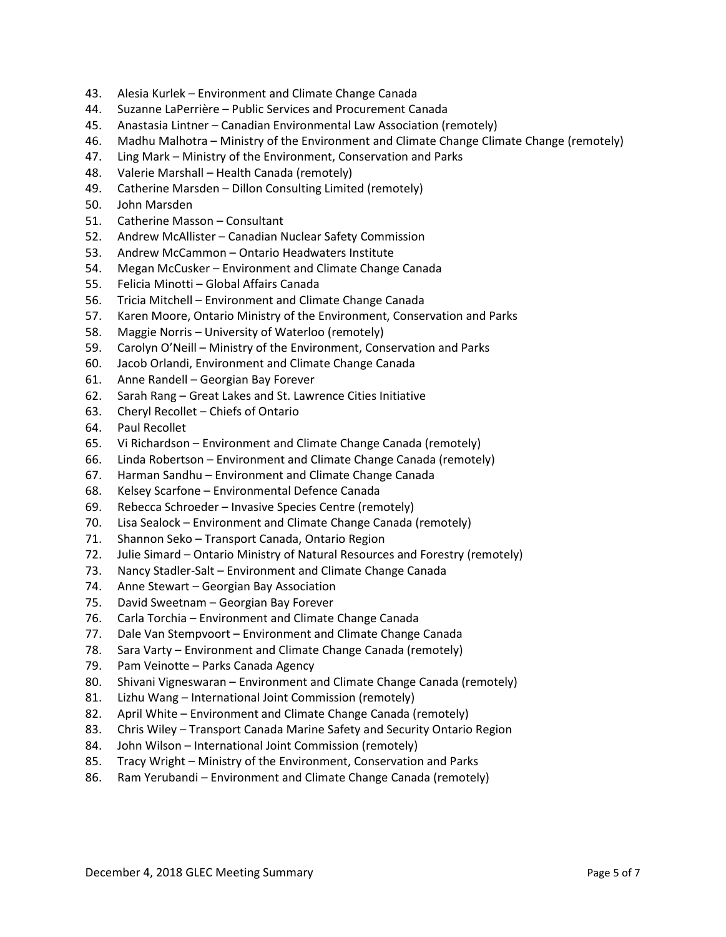- 43. Alesia Kurlek Environment and Climate Change Canada
- 44. Suzanne LaPerrière Public Services and Procurement Canada
- 45. Anastasia Lintner Canadian Environmental Law Association (remotely)
- 46. Madhu Malhotra Ministry of the Environment and Climate Change Climate Change (remotely)
- 47. Ling Mark Ministry of the Environment, Conservation and Parks
- 48. Valerie Marshall Health Canada (remotely)
- 49. Catherine Marsden Dillon Consulting Limited (remotely)
- 50. John Marsden
- 51. Catherine Masson Consultant
- 52. Andrew McAllister Canadian Nuclear Safety Commission
- 53. Andrew McCammon Ontario Headwaters Institute
- 54. Megan McCusker Environment and Climate Change Canada
- 55. Felicia Minotti Global Affairs Canada
- 56. Tricia Mitchell Environment and Climate Change Canada
- 57. Karen Moore, Ontario Ministry of the Environment, Conservation and Parks
- 58. Maggie Norris University of Waterloo (remotely)
- 59. Carolyn O'Neill Ministry of the Environment, Conservation and Parks
- 60. Jacob Orlandi, Environment and Climate Change Canada
- 61. Anne Randell Georgian Bay Forever
- 62. Sarah Rang Great Lakes and St. Lawrence Cities Initiative
- 63. Cheryl Recollet Chiefs of Ontario
- 64. Paul Recollet
- 65. Vi Richardson Environment and Climate Change Canada (remotely)
- 66. Linda Robertson Environment and Climate Change Canada (remotely)
- 67. Harman Sandhu Environment and Climate Change Canada
- 68. Kelsey Scarfone Environmental Defence Canada
- 69. Rebecca Schroeder Invasive Species Centre (remotely)
- 70. Lisa Sealock Environment and Climate Change Canada (remotely)
- 71. Shannon Seko Transport Canada, Ontario Region
- 72. Julie Simard Ontario Ministry of Natural Resources and Forestry (remotely)
- 73. Nancy Stadler-Salt Environment and Climate Change Canada
- 74. Anne Stewart Georgian Bay Association
- 75. David Sweetnam Georgian Bay Forever
- 76. Carla Torchia Environment and Climate Change Canada
- 77. Dale Van Stempvoort Environment and Climate Change Canada
- 78. Sara Varty Environment and Climate Change Canada (remotely)
- 79. Pam Veinotte Parks Canada Agency
- 80. Shivani Vigneswaran Environment and Climate Change Canada (remotely)
- 81. Lizhu Wang International Joint Commission (remotely)
- 82. April White Environment and Climate Change Canada (remotely)
- 83. Chris Wiley Transport Canada Marine Safety and Security Ontario Region
- 84. John Wilson International Joint Commission (remotely)
- 85. Tracy Wright Ministry of the Environment, Conservation and Parks
- 86. Ram Yerubandi Environment and Climate Change Canada (remotely)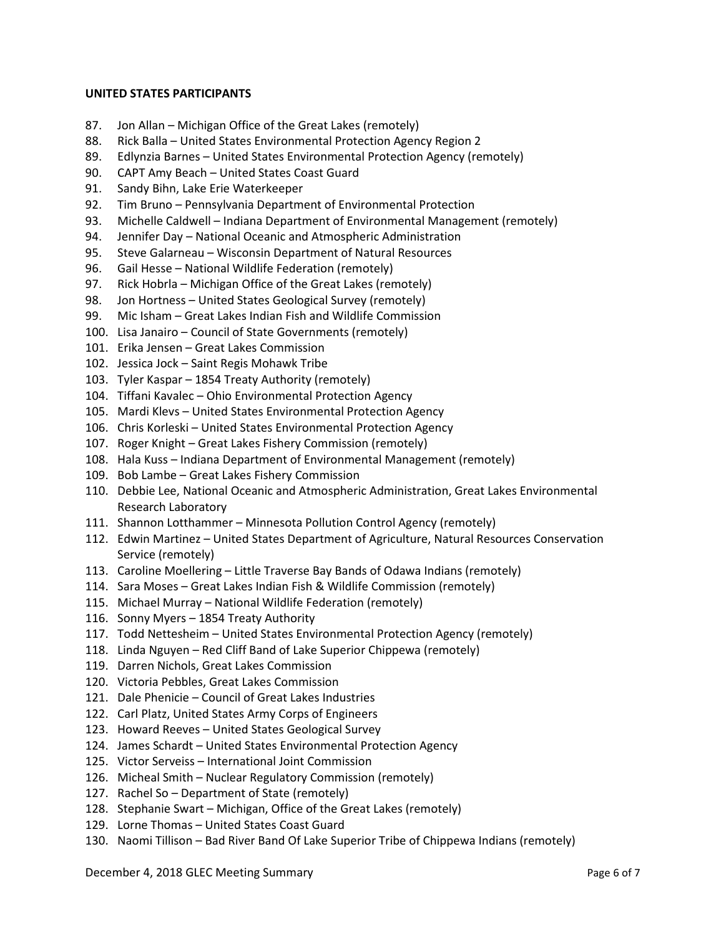## **UNITED STATES PARTICIPANTS**

- 87. Jon Allan Michigan Office of the Great Lakes (remotely)
- 88. Rick Balla United States Environmental Protection Agency Region 2
- 89. Edlynzia Barnes United States Environmental Protection Agency (remotely)
- 90. CAPT Amy Beach United States Coast Guard
- 91. Sandy Bihn, Lake Erie Waterkeeper
- 92. Tim Bruno Pennsylvania Department of Environmental Protection
- 93. Michelle Caldwell Indiana Department of Environmental Management (remotely)
- 94. Jennifer Day National Oceanic and Atmospheric Administration
- 95. Steve Galarneau Wisconsin Department of Natural Resources
- 96. Gail Hesse National Wildlife Federation (remotely)
- 97. Rick Hobrla Michigan Office of the Great Lakes (remotely)
- 98. Jon Hortness United States Geological Survey (remotely)
- 99. Mic Isham Great Lakes Indian Fish and Wildlife Commission
- 100. Lisa Janairo Council of State Governments (remotely)
- 101. Erika Jensen Great Lakes Commission
- 102. Jessica Jock Saint Regis Mohawk Tribe
- 103. Tyler Kaspar 1854 Treaty Authority (remotely)
- 104. Tiffani Kavalec Ohio Environmental Protection Agency
- 105. Mardi Klevs United States Environmental Protection Agency
- 106. Chris Korleski United States Environmental Protection Agency
- 107. Roger Knight Great Lakes Fishery Commission (remotely)
- 108. Hala Kuss Indiana Department of Environmental Management (remotely)
- 109. Bob Lambe Great Lakes Fishery Commission
- 110. Debbie Lee, National Oceanic and Atmospheric Administration, Great Lakes Environmental Research Laboratory
- 111. Shannon Lotthammer Minnesota Pollution Control Agency (remotely)
- 112. Edwin Martinez United States Department of Agriculture, Natural Resources Conservation Service (remotely)
- 113. Caroline Moellering Little Traverse Bay Bands of Odawa Indians (remotely)
- 114. Sara Moses Great Lakes Indian Fish & Wildlife Commission (remotely)
- 115. Michael Murray National Wildlife Federation (remotely)
- 116. Sonny Myers 1854 Treaty Authority
- 117. Todd Nettesheim United States Environmental Protection Agency (remotely)
- 118. Linda Nguyen Red Cliff Band of Lake Superior Chippewa (remotely)
- 119. Darren Nichols, Great Lakes Commission
- 120. Victoria Pebbles, Great Lakes Commission
- 121. Dale Phenicie Council of Great Lakes Industries
- 122. Carl Platz, United States Army Corps of Engineers
- 123. Howard Reeves United States Geological Survey
- 124. James Schardt United States Environmental Protection Agency
- 125. Victor Serveiss International Joint Commission
- 126. Micheal Smith Nuclear Regulatory Commission (remotely)
- 127. Rachel So Department of State (remotely)
- 128. Stephanie Swart Michigan, Office of the Great Lakes (remotely)
- 129. Lorne Thomas United States Coast Guard
- 130. Naomi Tillison Bad River Band Of Lake Superior Tribe of Chippewa Indians (remotely)